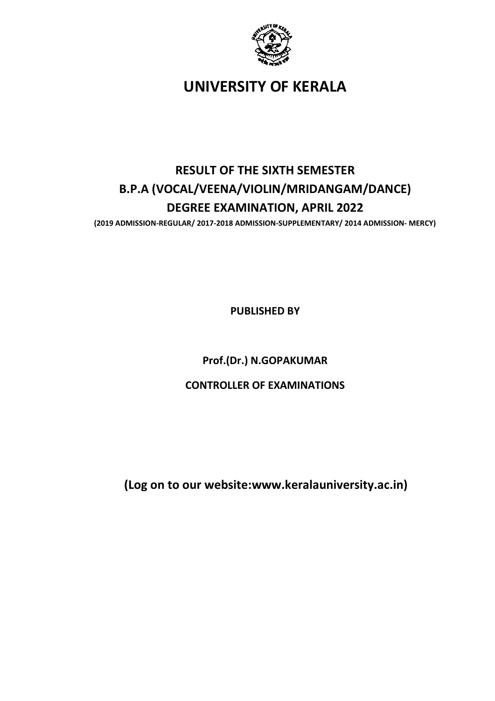

UNIVERSITY OF KERALA

# RESULT OF THE SIXTH SEMESTER B.P.A (VOCAL/VEENA/VIOLIN/MRIDANGAM/DANCE) DEGREE EXAMINATION, APRIL 2022

(2019 ADMISSION-REGULAR/ 2017-2018 ADMISSION-SUPPLEMENTARY/ 2014 ADMISSION- MERCY)

PUBLISHED BY

Prof.(Dr.) N.GOPAKUMAR

CONTROLLER OF EXAMINATIONS

(Log on to our website:www.keralauniversity.ac.in)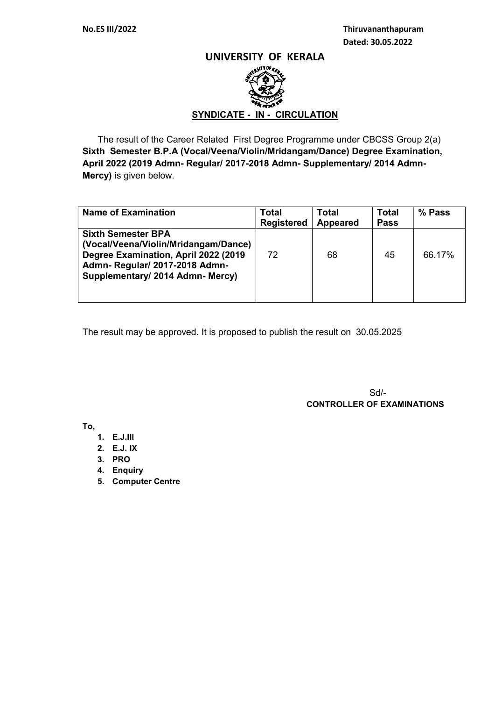### UNIVERSITY OF KERALA



 The result of the Career Related First Degree Programme under CBCSS Group 2(a) Sixth Semester B.P.A (Vocal/Veena/Violin/Mridangam/Dance) Degree Examination, April 2022 (2019 Admn- Regular/ 2017-2018 Admn- Supplementary/ 2014 Admn-Mercy) is given below.

| <b>Name of Examination</b>                                                                                                                                                      | <b>Total</b><br><b>Registered</b> | <b>Total</b><br>Appeared | <b>Total</b><br><b>Pass</b> | % Pass |
|---------------------------------------------------------------------------------------------------------------------------------------------------------------------------------|-----------------------------------|--------------------------|-----------------------------|--------|
| <b>Sixth Semester BPA</b><br>(Vocal/Veena/Violin/Mridangam/Dance)<br>Degree Examination, April 2022 (2019)<br>Admn-Regular/ 2017-2018 Admn-<br>Supplementary/ 2014 Admn- Mercy) | 72                                | 68                       | 45                          | 66.17% |

The result may be approved. It is proposed to publish the result on 30.05.2025

 Sd/- CONTROLLER OF EXAMINATIONS

To,

- 1. E.J.III
- 2. E.J. IX
- 3. PRO
- 4. Enquiry
- 5. Computer Centre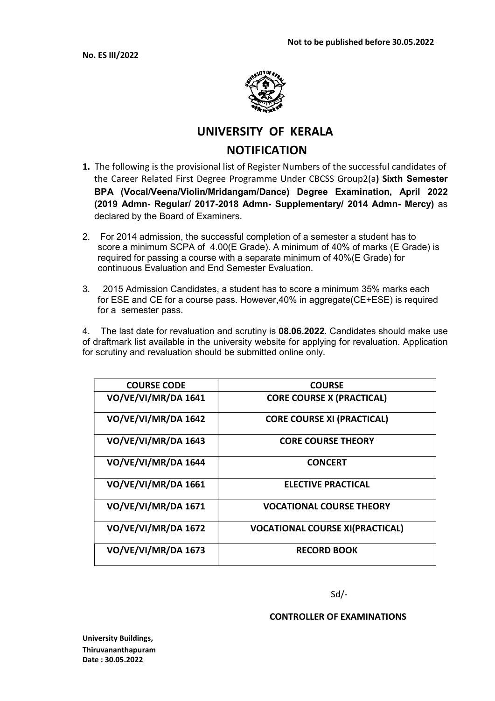

# UNIVERSITY OF KERALA **NOTIFICATION**

- 1. The following is the provisional list of Register Numbers of the successful candidates of the Career Related First Degree Programme Under CBCSS Group2(a) Sixth Semester BPA (Vocal/Veena/Violin/Mridangam/Dance) Degree Examination, April 2022 (2019 Admn- Regular/ 2017-2018 Admn- Supplementary/ 2014 Admn- Mercy) as declared by the Board of Examiners.
- 2. For 2014 admission, the successful completion of a semester a student has to score a minimum SCPA of 4.00(E Grade). A minimum of 40% of marks (E Grade) is required for passing a course with a separate minimum of 40%(E Grade) for continuous Evaluation and End Semester Evaluation.
- 3. 2015 Admission Candidates, a student has to score a minimum 35% marks each for ESE and CE for a course pass. However,40% in aggregate(CE+ESE) is required for a semester pass.

4. The last date for revaluation and scrutiny is 08.06.2022. Candidates should make use of draftmark list available in the university website for applying for revaluation. Application for scrutiny and revaluation should be submitted online only.

| <b>COURSE CODE</b>         | <b>COURSE</b>                          |
|----------------------------|----------------------------------------|
| <b>VO/VE/VI/MR/DA 1641</b> | <b>CORE COURSE X (PRACTICAL)</b>       |
| <b>VO/VE/VI/MR/DA 1642</b> | <b>CORE COURSE XI (PRACTICAL)</b>      |
| <b>VO/VE/VI/MR/DA 1643</b> | <b>CORE COURSE THEORY</b>              |
| VO/VE/VI/MR/DA 1644        | <b>CONCERT</b>                         |
| <b>VO/VE/VI/MR/DA 1661</b> | <b>ELECTIVE PRACTICAL</b>              |
| <b>VO/VE/VI/MR/DA 1671</b> | <b>VOCATIONAL COURSE THEORY</b>        |
| <b>VO/VE/VI/MR/DA 1672</b> | <b>VOCATIONAL COURSE XI(PRACTICAL)</b> |
| <b>VO/VE/VI/MR/DA 1673</b> | <b>RECORD BOOK</b>                     |

Sd/-

### CONTROLLER OF EXAMINATIONS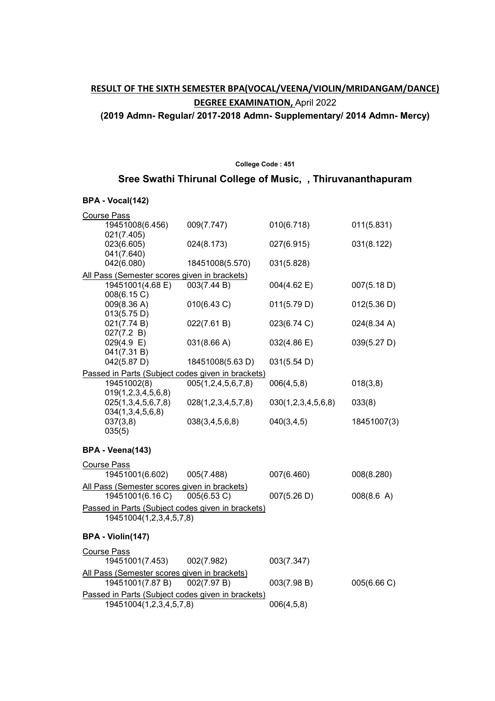## RESULT OF THE SIXTH SEMESTER BPA(VOCAL/VEENA/VIOLIN/MRIDANGAM/DANCE) **DEGREE EXAMINATION, April 2022**

(2019 Admn- Regular/ 2017-2018 Admn- Supplementary/ 2014 Admn- Mercy)

## College Code : 451 Sree Swathi Thirunal College of Music, , Thiruvananthapuram

### BPA - Vocal(142)

| <b>Course Pass</b>                                |                          |                    |                       |
|---------------------------------------------------|--------------------------|--------------------|-----------------------|
| 19451008(6.456)                                   | 009(7.747)               | 010(6.718)         | 011(5.831)            |
| 021(7.405)                                        |                          |                    |                       |
| 023(6.605)                                        | 024(8.173)               | 027(6.915)         | 031(8.122)            |
| 041(7.640)                                        |                          |                    |                       |
| 042(6.080)                                        | 18451008(5.570)          | 031(5.828)         |                       |
| All Pass (Semester scores given in brackets)      |                          |                    |                       |
| 19451001(4.68 E)                                  | 003(7.44 B)              | 004(4.62 E)        | 007(5.18 D)           |
| 008(6.15 C)                                       |                          |                    |                       |
| 009(8.36 A)                                       | 010(6.43 C)              | 011(5.79 D)        | 012(5.36 D)           |
| 013(5.75 D)                                       |                          |                    |                       |
| 021(7.74 B)                                       | 022(7.61 B)              | 023(6.74 C)        | $024(8.34 \text{ A})$ |
| 027(7.2 B)<br>$029(4.9)$ E)                       | 031(8.66 A)              | 032(4.86 E)        | 039(5.27 D)           |
| 041(7.31 B)                                       |                          |                    |                       |
| 042(5.87 D)                                       | 18451008(5.63 D)         | 031(5.54 D)        |                       |
| Passed in Parts (Subject codes given in brackets) |                          |                    |                       |
| 19451002(8)                                       | 005(1, 2, 4, 5, 6, 7, 8) | 006(4,5,8)         | 018(3,8)              |
| 019(1,2,3,4,5,6,8)                                |                          |                    |                       |
| 025(1,3,4,5,6,7,8)                                | 028(1,2,3,4,5,7,8)       | 030(1,2,3,4,5,6,8) | 033(8)                |
| 034(1,3,4,5,6,8)                                  |                          |                    |                       |
| 037(3,8)                                          | 038(3,4,5,6,8)           | 040(3, 4, 5)       | 18451007(3)           |
| 035(5)                                            |                          |                    |                       |
|                                                   |                          |                    |                       |
| BPA - Veena(143)                                  |                          |                    |                       |
| Course Pass                                       |                          |                    |                       |

| <b>00000000000</b>                                |             |             |             |
|---------------------------------------------------|-------------|-------------|-------------|
| 19451001(6.602) 005(7.488)                        |             | 007(6.460)  | 008(8.280)  |
| All Pass (Semester scores given in brackets)      |             |             |             |
| 19451001(6.16 C) 005(6.53 C)                      |             | 007(5.26 D) | 008(8.6 A)  |
| Passed in Parts (Subject codes given in brackets) |             |             |             |
| 19451004(1,2,3,4,5,7,8)                           |             |             |             |
|                                                   |             |             |             |
| BPA - Violin(147)                                 |             |             |             |
| Course Pass                                       |             |             |             |
| 19451001(7.453)                                   | 002(7.982)  | 003(7.347)  |             |
| All Pass (Semester scores given in brackets)      |             |             |             |
| 19451001(7.87 B)                                  | 002(7.97 B) | 003(7.98 B) | 005(6.66 C) |
| Passed in Parts (Subject codes given in brackets) |             |             |             |
| 19451004(1,2,3,4,5,7,8)                           |             | 006(4,5,8)  |             |